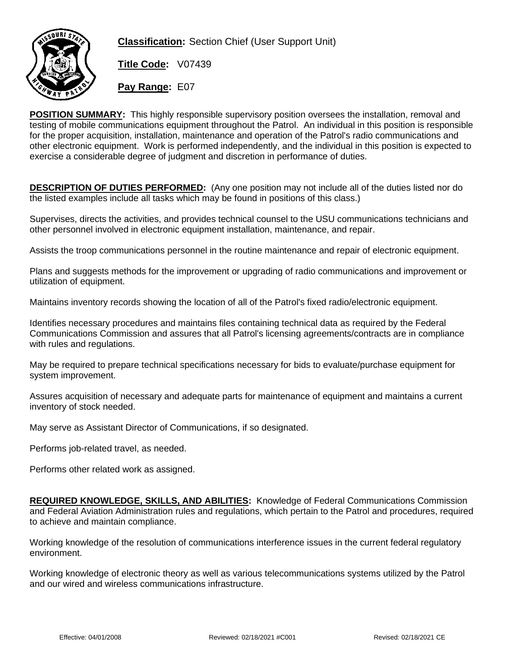

**Classification:** Section Chief (User Support Unit)

**Title Code:** V07439

**Pay Range:** E07

**POSITION SUMMARY:** This highly responsible supervisory position oversees the installation, removal and testing of mobile communications equipment throughout the Patrol. An individual in this position is responsible for the proper acquisition, installation, maintenance and operation of the Patrol's radio communications and other electronic equipment. Work is performed independently, and the individual in this position is expected to exercise a considerable degree of judgment and discretion in performance of duties.

**DESCRIPTION OF DUTIES PERFORMED:** (Any one position may not include all of the duties listed nor do the listed examples include all tasks which may be found in positions of this class.)

Supervises, directs the activities, and provides technical counsel to the USU communications technicians and other personnel involved in electronic equipment installation, maintenance, and repair.

Assists the troop communications personnel in the routine maintenance and repair of electronic equipment.

Plans and suggests methods for the improvement or upgrading of radio communications and improvement or utilization of equipment.

Maintains inventory records showing the location of all of the Patrol's fixed radio/electronic equipment.

Identifies necessary procedures and maintains files containing technical data as required by the Federal Communications Commission and assures that all Patrol's licensing agreements/contracts are in compliance with rules and regulations.

May be required to prepare technical specifications necessary for bids to evaluate/purchase equipment for system improvement.

Assures acquisition of necessary and adequate parts for maintenance of equipment and maintains a current inventory of stock needed.

May serve as Assistant Director of Communications, if so designated.

Performs job-related travel, as needed.

Performs other related work as assigned.

**REQUIRED KNOWLEDGE, SKILLS, AND ABILITIES:** Knowledge of Federal Communications Commission and Federal Aviation Administration rules and regulations, which pertain to the Patrol and procedures, required to achieve and maintain compliance.

Working knowledge of the resolution of communications interference issues in the current federal regulatory environment.

Working knowledge of electronic theory as well as various telecommunications systems utilized by the Patrol and our wired and wireless communications infrastructure.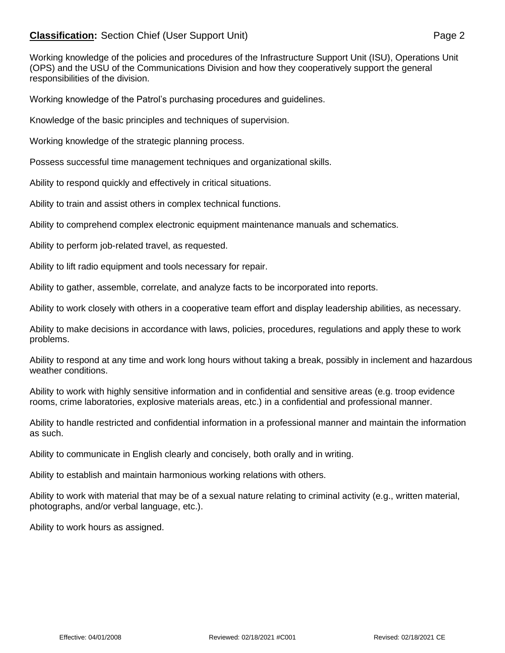## **Classification:** Section Chief (User Support Unit) **Page 2** Page 2

Working knowledge of the policies and procedures of the Infrastructure Support Unit (ISU), Operations Unit (OPS) and the USU of the Communications Division and how they cooperatively support the general responsibilities of the division.

Working knowledge of the Patrol's purchasing procedures and guidelines.

Knowledge of the basic principles and techniques of supervision.

Working knowledge of the strategic planning process.

Possess successful time management techniques and organizational skills.

Ability to respond quickly and effectively in critical situations.

Ability to train and assist others in complex technical functions.

Ability to comprehend complex electronic equipment maintenance manuals and schematics.

Ability to perform job-related travel, as requested.

Ability to lift radio equipment and tools necessary for repair.

Ability to gather, assemble, correlate, and analyze facts to be incorporated into reports.

Ability to work closely with others in a cooperative team effort and display leadership abilities, as necessary.

Ability to make decisions in accordance with laws, policies, procedures, regulations and apply these to work problems.

Ability to respond at any time and work long hours without taking a break, possibly in inclement and hazardous weather conditions.

Ability to work with highly sensitive information and in confidential and sensitive areas (e.g. troop evidence rooms, crime laboratories, explosive materials areas, etc.) in a confidential and professional manner.

Ability to handle restricted and confidential information in a professional manner and maintain the information as such.

Ability to communicate in English clearly and concisely, both orally and in writing.

Ability to establish and maintain harmonious working relations with others.

Ability to work with material that may be of a sexual nature relating to criminal activity (e.g., written material, photographs, and/or verbal language, etc.).

Ability to work hours as assigned.